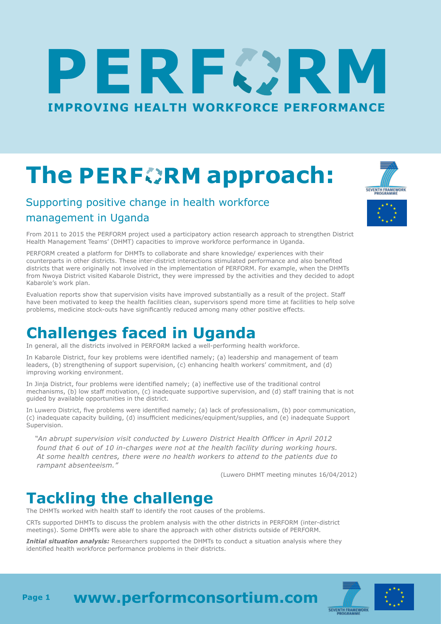# ERFØR **[IMPROVING HEALTH WORKFORCE PERFORMANCE](http://www.performconsortium.com/)**

## **ThePERFORM approach:**

#### Supporting positive change in health workforce management in Uganda

**SEVENTH FRAMEWORK** 



PERFORM created a platform for DHMTs to collaborate and share knowledge/ experiences with their counterparts in other districts. These inter-district interactions stimulated performance and also benefited districts that were originally not involved in the implementation of PERFORM. For example, when the DHMTs from Nwoya District visited Kabarole District, they were impressed by the activities and they decided to adopt Kabarole's work plan.

Evaluation reports show that supervision visits have improved substantially as a result of the project. Staff have been motivated to keep the health facilities clean, supervisors spend more time at facilities to help solve problems, medicine stock-outs have significantly reduced among many other positive effects.

#### **Challenges faced in Uganda**

In general, all the districts involved in PERFORM lacked a well-performing health workforce.

In Kabarole District, four key problems were identified namely; (a) leadership and management of team leaders, (b) strengthening of support supervision, (c) enhancing health workers' commitment, and (d) improving working environment.

In Jinja District, four problems were identified namely; (a) ineffective use of the traditional control mechanisms, (b) low staff motivation, (c) inadequate supportive supervision, and (d) staff training that is not guided by available opportunities in the district.

In Luwero District, five problems were identified namely; (a) lack of professionalism, (b) poor communication, (c) inadequate capacity building, (d) insufficient medicines/equipment/supplies, and (e) inadequate Support Supervision.

*"An abrupt supervision visit conducted by Luwero District Health Officer in April 2012 found that 6 out of 10 in-charges were not at the health facility during working hours. At some health centres, there were no health workers to attend to the patients due to rampant absenteeism."*

(Luwero DHMT meeting minutes 16/04/2012)

### **Tackling the challenge**

The DHMTs worked with health staff to identify the root causes of the problems.

CRTs supported DHMTs to discuss the problem analysis with the other districts in PERFORM (inter-district meetings). Some DHMTs were able to share the approach with other districts outside of PERFORM.

*Initial situation analysis:* Researchers supported the DHMTs to conduct a situation analysis where they identified health workforce performance problems in their districts.





**[www.performconsortium.com](http://www.performconsortium.com/) Page 1**